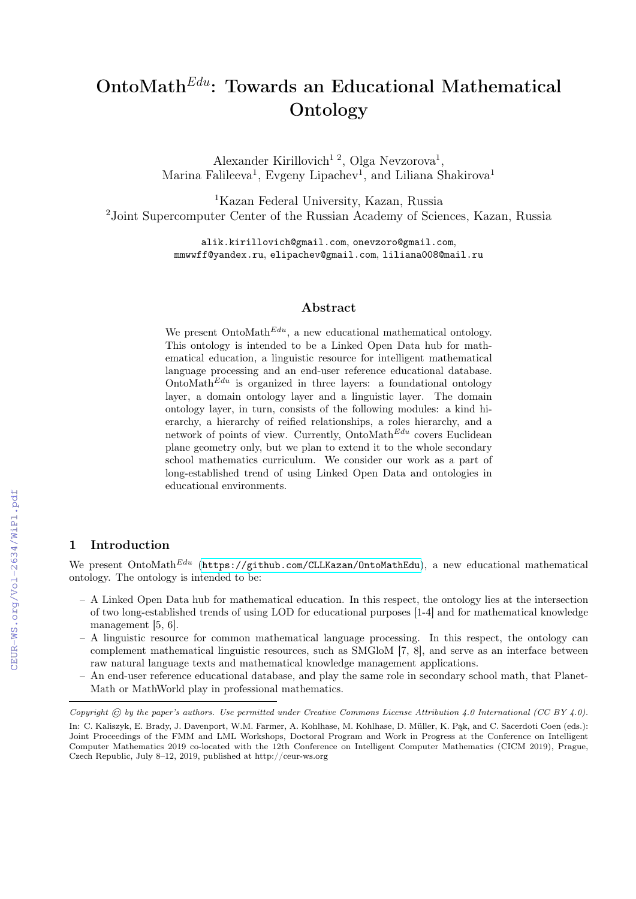# $\text{OntoMath}^{Edu}$ : Towards an Educational Mathematical **Ontology**

Alexander Kirillovich<sup>12</sup>, Olga Nevzorova<sup>1</sup>, Marina Falileeva<sup>1</sup>, Evgeny Lipachev<sup>1</sup>, and Liliana Shakirova<sup>1</sup>

<sup>1</sup>Kazan Federal University, Kazan, Russia <sup>2</sup>Joint Supercomputer Center of the Russian Academy of Sciences, Kazan, Russia

> alik.kirillovich@gmail.com, onevzoro@gmail.com, mmwwff@yandex.ru, elipachev@gmail.com, liliana008@mail.ru

#### Abstract

We present OntoMath $E^{du}$ , a new educational mathematical ontology. This ontology is intended to be a Linked Open Data hub for mathematical education, a linguistic resource for intelligent mathematical language processing and an end-user reference educational database. OntoMath $Edu$  is organized in three layers: a foundational ontology layer, a domain ontology layer and a linguistic layer. The domain ontology layer, in turn, consists of the following modules: a kind hierarchy, a hierarchy of reified relationships, a roles hierarchy, and a network of points of view. Currently,  $\text{OntoMath}^{Edu}$  covers Euclidean plane geometry only, but we plan to extend it to the whole secondary school mathematics curriculum. We consider our work as a part of long-established trend of using Linked Open Data and ontologies in educational environments.

## 1 Introduction

We present OntoMath $Edu$  (<https://github.com/CLLKazan/OntoMathEdu>), a new educational mathematical ontology. The ontology is intended to be:

- A Linked Open Data hub for mathematical education. In this respect, the ontology lies at the intersection of two long-established trends of using LOD for educational purposes [1-4] and for mathematical knowledge management [5, 6].
- $-$  A linguistic resource for common mathematical language processing. In this respect, the ontology can complement mathematical linguistic resources, such as SMGloM [7, 8], and serve as an interface between raw natural language texts and mathematical knowledge management applications.
- An end-user reference educational database, and play the same role in secondary school math, that Planet-Math or MathWorld play in professional mathematics.

Copyright  $\odot$  by the paper's authors. Use permitted under Creative Commons License Attribution 4.0 International (CC BY 4.0). In: C. Kaliszyk, E. Brady, J. Davenport, W.M. Farmer, A. Kohlhase, M. Kohlhase, D. Müller, K. Pąk, and C. Sacerdoti Coen (eds.): Joint Proceedings of the FMM and LML Workshops, Doctoral Program and Work in Progress at the Conference on Intelligent Computer Mathematics 2019 co-located with the 12th Conference on Intelligent Computer Mathematics (CICM 2019), Prague, Czech Republic, July 8–12, 2019, published at http://ceur-ws.org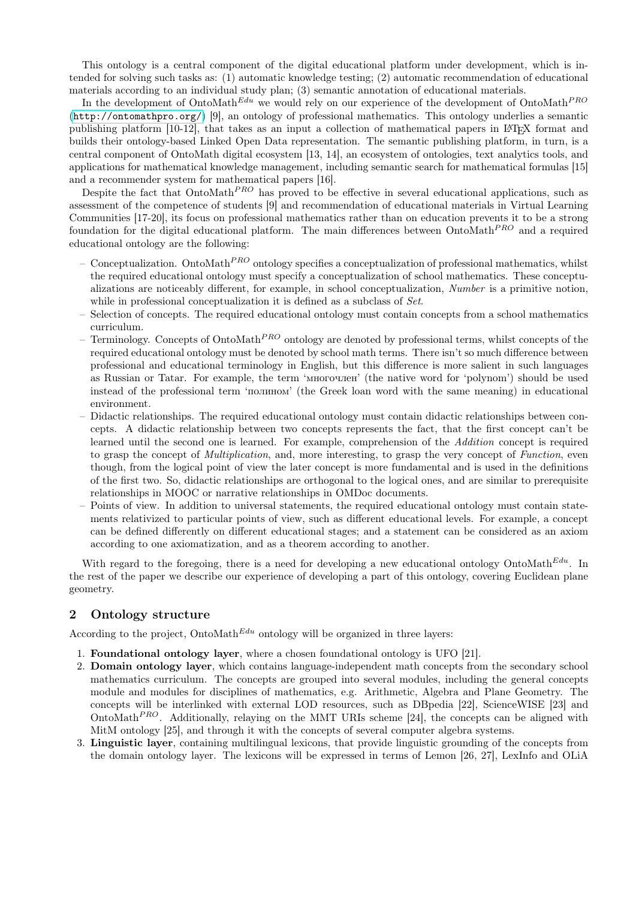This ontology is a central component of the digital educational platform under development, which is intended for solving such tasks as: (1) automatic knowledge testing; (2) automatic recommendation of educational materials according to an individual study plan; (3) semantic annotation of educational materials.

In the development of OntoMath<sup>Edu</sup> we would rely on our experience of the development of OntoMath<sup>PRO</sup> (<http://ontomathpro.org/>) [9], an ontology of professional mathematics. This ontology underlies a semantic publishing platform [10-12], that takes as an input a collection of mathematical papers in LATEX format and builds their ontology-based Linked Open Data representation. The semantic publishing platform, in turn, is a central component of OntoMath digital ecosystem [13, 14], an ecosystem of ontologies, text analytics tools, and applications for mathematical knowledge management, including semantic search for mathematical formulas [15] and a recommender system for mathematical papers [16].

Despite the fact that  $OntoMath<sup>PRO</sup>$  has proved to be effective in several educational applications, such as assessment of the competence of students [9] and recommendation of educational materials in Virtual Learning Communities [17-20], its focus on professional mathematics rather than on education prevents it to be a strong foundation for the digital educational platform. The main differences between  $\text{OntoMath}^{PRO}$  and a required educational ontology are the following:

- Conceptualization. OntoMath<sup>PRO</sup> ontology specifies a conceptualization of professional mathematics, whilst the required educational ontology must specify a conceptualization of school mathematics. These conceptualizations are noticeably different, for example, in school conceptualization, Number is a primitive notion, while in professional conceptualization it is defined as a subclass of Set.
- Selection of concepts. The required educational ontology must contain concepts from a school mathematics curriculum.
- Terminology. Concepts of OntoMath<sup>PRO</sup> ontology are denoted by professional terms, whilst concepts of the required educational ontology must be denoted by school math terms. There isn't so much difference between professional and educational terminology in English, but this difference is more salient in such languages as Russian or Tatar. For example, the term 'многочлен' (the native word for 'polynom') should be used instead of the professional term 'полином' (the Greek loan word with the same meaning) in educational environment.
- Didactic relationships. The required educational ontology must contain didactic relationships between concepts. A didactic relationship between two concepts represents the fact, that the first concept can't be learned until the second one is learned. For example, comprehension of the Addition concept is required to grasp the concept of *Multiplication*, and, more interesting, to grasp the very concept of *Function*, even though, from the logical point of view the later concept is more fundamental and is used in the definitions of the first two. So, didactic relationships are orthogonal to the logical ones, and are similar to prerequisite relationships in MOOC or narrative relationships in OMDoc documents.
- Points of view. In addition to universal statements, the required educational ontology must contain statements relativized to particular points of view, such as different educational levels. For example, a concept can be defined differently on different educational stages; and a statement can be considered as an axiom according to one axiomatization, and as a theorem according to another.

With regard to the foregoing, there is a need for developing a new educational ontology OntoMath<sup>Edu</sup>. In the rest of the paper we describe our experience of developing a part of this ontology, covering Euclidean plane geometry.

#### 2 Ontology structure

According to the project, OntoMath<sup>Edu</sup> ontology will be organized in three layers:

- 1. Foundational ontology layer, where a chosen foundational ontology is UFO [21].
- 2. Domain ontology layer, which contains language-independent math concepts from the secondary school mathematics curriculum. The concepts are grouped into several modules, including the general concepts module and modules for disciplines of mathematics, e.g. Arithmetic, Algebra and Plane Geometry. The concepts will be interlinked with external LOD resources, such as DBpedia [22], ScienceWISE [23] and OntoMath<sup>PRO</sup>. Additionally, relaying on the MMT URIs scheme [24], the concepts can be aligned with MitM ontology [25], and through it with the concepts of several computer algebra systems.
- 3. Linguistic layer, containing multilingual lexicons, that provide linguistic grounding of the concepts from the domain ontology layer. The lexicons will be expressed in terms of Lemon [26, 27], LexInfo and OLiA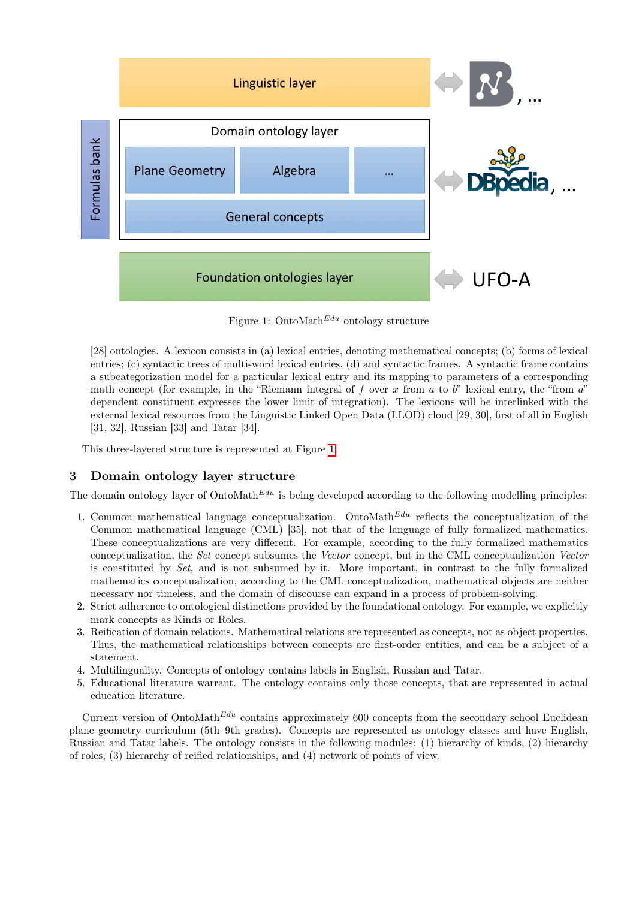

<span id="page-2-0"></span>Figure 1: OntoMath<sup>Edu</sup> ontology structure

[28] ontologies. A lexicon consists in (a) lexical entries, denoting mathematical concepts; (b) forms of lexical entries; (c) syntactic trees of multi-word lexical entries, (d) and syntactic frames. A syntactic frame contains a subcategorization model for a particular lexical entry and its mapping to parameters of a corresponding math concept (for example, in the "Riemann integral of f over x from a to b" lexical entry, the "from  $a$ " dependent constituent expresses the lower limit of integration). The lexicons will be interlinked with the external lexical resources from the Linguistic Linked Open Data (LLOD) cloud [29, 30], first of all in English [31, 32], Russian [33] and Tatar [34].

This three-layered structure is represented at Figure [1.](#page-2-0)

## 3 Domain ontology layer structure

The domain ontology layer of OntoMath<sup>Edu</sup> is being developed according to the following modelling principles:

- 1. Common mathematical language conceptualization. OntoMath<sup>Edu</sup> reflects the conceptualization of the Common mathematical language (CML) [35], not that of the language of fully formalized mathematics. These conceptualizations are very different. For example, according to the fully formalized mathematics conceptualization, the Set concept subsumes the Vector concept, but in the CML conceptualization Vector is constituted by Set, and is not subsumed by it. More important, in contrast to the fully formalized mathematics conceptualization, according to the CML conceptualization, mathematical objects are neither necessary nor timeless, and the domain of discourse can expand in a process of problem-solving.
- 2. Strict adherence to ontological distinctions provided by the foundational ontology. For example, we explicitly mark concepts as Kinds or Roles.
- 3. Reification of domain relations. Mathematical relations are represented as concepts, not as object properties. Thus, the mathematical relationships between concepts are first-order entities, and can be a subject of a statement.
- 4. Multilinguality. Concepts of ontology contains labels in English, Russian and Tatar.
- 5. Educational literature warrant. The ontology contains only those concepts, that are represented in actual education literature.

Current version of OntoMath $E^{du}$  contains approximately 600 concepts from the secondary school Euclidean plane geometry curriculum (5th–9th grades). Concepts are represented as ontology classes and have English, Russian and Tatar labels. The ontology consists in the following modules: (1) hierarchy of kinds, (2) hierarchy of roles, (3) hierarchy of reified relationships, and (4) network of points of view.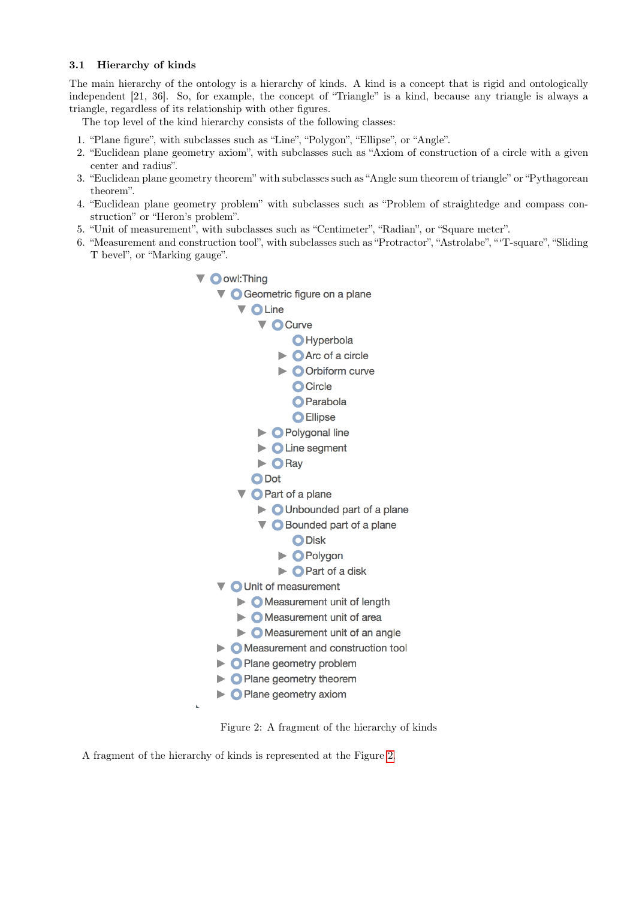#### 3.1 Hierarchy of kinds

The main hierarchy of the ontology is a hierarchy of kinds. A kind is a concept that is rigid and ontologically independent [21, 36]. So, for example, the concept of "Triangle" is a kind, because any triangle is always a triangle, regardless of its relationship with other figures.

The top level of the kind hierarchy consists of the following classes:

- 1. "Plane figure", with subclasses such as "Line", "Polygon", "Ellipse", or "Angle".
- 2. "Euclidean plane geometry axiom", with subclasses such as "Axiom of construction of a circle with a given center and radius".
- 3. "Euclidean plane geometry theorem" with subclasses such as "Angle sum theorem of triangle" or "Pythagorean theorem".
- 4. "Euclidean plane geometry problem" with subclasses such as "Problem of straightedge and compass construction" or "Heron's problem".
- 5. "Unit of measurement", with subclasses such as "Centimeter", "Radian", or "Square meter".
- 6. "Measurement and construction tool", with subclasses such as "Protractor", "Astrolabe", "'T-square", "Sliding T bevel", or "Marking gauge".
	- $\nabla$  O owl: Thing V O Geometric figure on a plane  $\nabla$   $O$  Line  $\nabla$   $\bigcirc$  Curve **O** Hyperbola  $\triangleright$   $\bigcirc$  Arc of a circle  $\triangleright$  Orbiform curve **O** Circle O Parabola **O** Ellipse  $\triangleright$   $\bigcirc$  Polygonal line  $\triangleright$   $\bigcirc$  Line segment  $\triangleright$  **O** Ray O Dot **V O** Part of a plane  $\triangleright$  O Unbounded part of a plane V O Bounded part of a plane **O** Disk  $\triangleright$   $\bigcirc$  Polygon  $\triangleright$   $\bigcirc$  Part of a disk V O Unit of measurement Measurement unit of length  $\triangleright$   $\bigcirc$  Measurement unit of area  $\triangleright$  **O** Measurement unit of an angle Measurement and construction tool ▶ **O** Plane geometry problem  $\triangleright$   $\bigcirc$  Plane geometry theorem  $\triangleright$   $\bigcirc$  Plane geometry axiom

<span id="page-3-0"></span>Figure 2: A fragment of the hierarchy of kinds

A fragment of the hierarchy of kinds is represented at the Figure [2.](#page-3-0)

 $\mathbf{r}$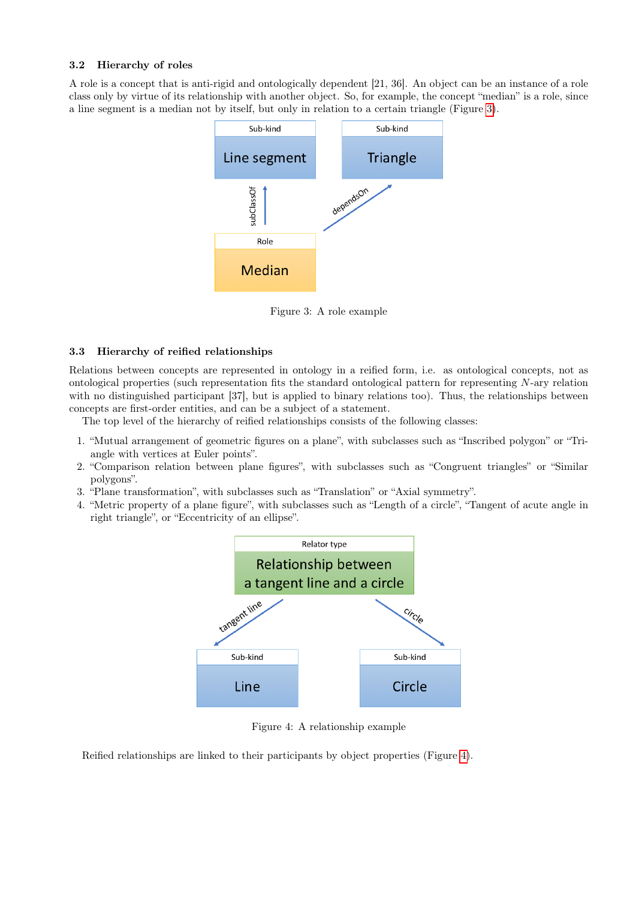#### 3.2 Hierarchy of roles

A role is a concept that is anti-rigid and ontologically dependent [21, 36]. An object can be an instance of a role class only by virtue of its relationship with another object. So, for example, the concept "median" is a role, since a line segment is a median not by itself, but only in relation to a certain triangle (Figure [3\)](#page-4-0).



<span id="page-4-0"></span>Figure 3: A role example

#### 3.3 Hierarchy of reified relationships

Relations between concepts are represented in ontology in a reified form, i.e. as ontological concepts, not as ontological properties (such representation fits the standard ontological pattern for representing N-ary relation with no distinguished participant [37], but is applied to binary relations too). Thus, the relationships between concepts are first-order entities, and can be a subject of a statement.

The top level of the hierarchy of reified relationships consists of the following classes:

- 1. "Mutual arrangement of geometric figures on a plane", with subclasses such as "Inscribed polygon" or "Triangle with vertices at Euler points".
- 2. "Comparison relation between plane figures", with subclasses such as "Congruent triangles" or "Similar polygons".
- 3. "Plane transformation", with subclasses such as "Translation" or "Axial symmetry".
- 4. "Metric property of a plane figure", with subclasses such as "Length of a circle", "Tangent of acute angle in right triangle", or "Eccentricity of an ellipse".



<span id="page-4-1"></span>Figure 4: A relationship example

Reified relationships are linked to their participants by object properties (Figure [4\)](#page-4-1).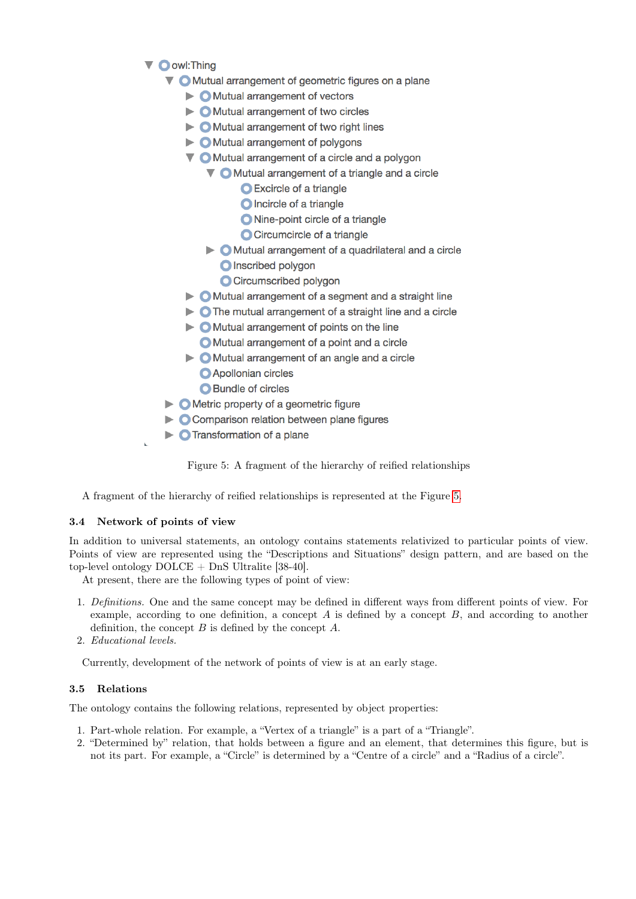- ▼ Oowl:Thing
	- ▼ O Mutual arrangement of geometric figures on a plane
		- $\triangleright$  **O** Mutual arrangement of vectors
		- Mutual arrangement of two circles
		- $\triangleright$  **O** Mutual arrangement of two right lines
		- Mutual arrangement of polygons
		- V O Mutual arrangement of a circle and a polygon
			- V O Mutual arrangement of a triangle and a circle
				- Excircle of a triangle
				- O Incircle of a triangle
				- O Nine-point circle of a triangle
				- C Circumcircle of a triangle
			- Mutual arrangement of a quadrilateral and a circle
				- **O** Inscribed polygon
				- Circumscribed polygon
		- $\triangleright$  **O** Mutual arrangement of a segment and a straight line
		- $\triangleright$   $\bigcirc$  The mutual arrangement of a straight line and a circle
		- $\triangleright$  **O** Mutual arrangement of points on the line
			- Mutual arrangement of a point and a circle
		- $\triangleright$  **O** Mutual arrangement of an angle and a circle **O** Apollonian circles
			-
			- Bundle of circles
	- $\triangleright$  **O** Metric property of a geometric figure
	- $\triangleright$   $\bigcirc$  Comparison relation between plane figures
	- $\triangleright$  **O** Transformation of a plane

<span id="page-5-0"></span>Figure 5: A fragment of the hierarchy of reified relationships

A fragment of the hierarchy of reified relationships is represented at the Figure [5.](#page-5-0)

## 3.4 Network of points of view

In addition to universal statements, an ontology contains statements relativized to particular points of view. Points of view are represented using the "Descriptions and Situations" design pattern, and are based on the top-level ontology DOLCE + DnS Ultralite [38-40].

At present, there are the following types of point of view:

- 1. Definitions. One and the same concept may be defined in different ways from different points of view. For example, according to one definition, a concept  $A$  is defined by a concept  $B$ , and according to another definition, the concept  $B$  is defined by the concept  $A$ .
- 2. Educational levels.

Currently, development of the network of points of view is at an early stage.

#### 3.5 Relations

The ontology contains the following relations, represented by object properties:

- 1. Part-whole relation. For example, a "Vertex of a triangle" is a part of a "Triangle".
- 2. "Determined by" relation, that holds between a figure and an element, that determines this figure, but is not its part. For example, a "Circle" is determined by a "Centre of a circle" and a "Radius of a circle".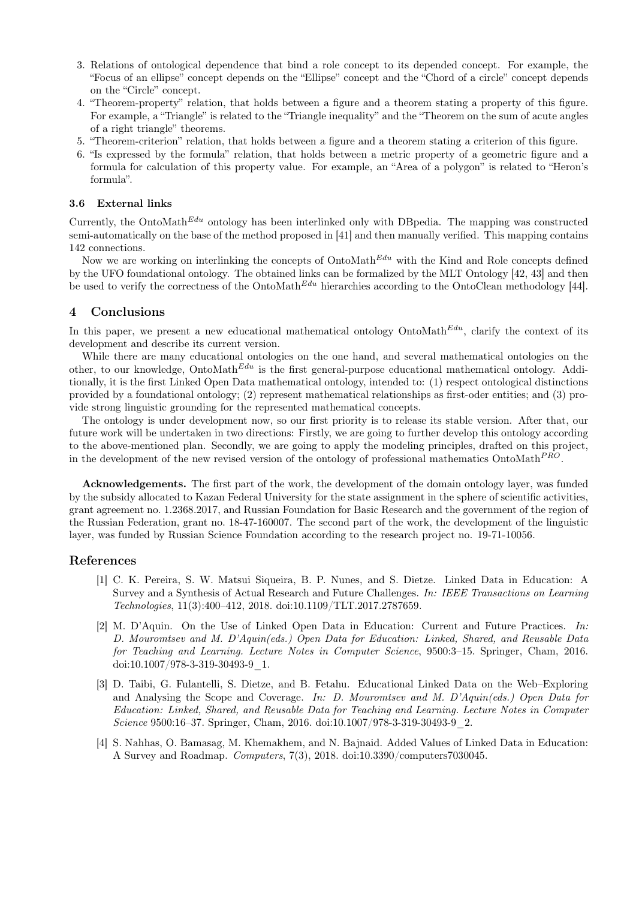- 3. Relations of ontological dependence that bind a role concept to its depended concept. For example, the "Focus of an ellipse" concept depends on the "Ellipse" concept and the "Chord of a circle" concept depends on the "Circle" concept.
- 4. "Theorem-property" relation, that holds between a figure and a theorem stating a property of this figure. For example, a "Triangle" is related to the "Triangle inequality" and the "Theorem on the sum of acute angles of a right triangle" theorems.
- 5. "Theorem-criterion" relation, that holds between a figure and a theorem stating a criterion of this figure.
- 6. "Is expressed by the formula" relation, that holds between a metric property of a geometric figure and a formula for calculation of this property value. For example, an "Area of a polygon" is related to "Heron's formula".

#### 3.6 External links

Currently, the OntoMath $Edu$  ontology has been interlinked only with DBpedia. The mapping was constructed semi-automatically on the base of the method proposed in [41] and then manually verified. This mapping contains 142 connections.

Now we are working on interlinking the concepts of  $\text{OntoMath}^{Edu}$  with the Kind and Role concepts defined by the UFO foundational ontology. The obtained links can be formalized by the MLT Ontology [42, 43] and then be used to verify the correctness of the OntoMath<sup>Edu</sup> hierarchies according to the OntoClean methodology [44].

#### 4 Conclusions

In this paper, we present a new educational mathematical ontology OntoMath $E^{du}$ , clarify the context of its development and describe its current version.

While there are many educational ontologies on the one hand, and several mathematical ontologies on the other, to our knowledge, OntoMath $E^{du}$  is the first general-purpose educational mathematical ontology. Additionally, it is the first Linked Open Data mathematical ontology, intended to: (1) respect ontological distinctions provided by a foundational ontology; (2) represent mathematical relationships as first-oder entities; and (3) provide strong linguistic grounding for the represented mathematical concepts.

The ontology is under development now, so our first priority is to release its stable version. After that, our future work will be undertaken in two directions: Firstly, we are going to further develop this ontology according to the above-mentioned plan. Secondly, we are going to apply the modeling principles, drafted on this project, in the development of the new revised version of the ontology of professional mathematics OntoMath<sup>PRO</sup>.

Acknowledgements. The first part of the work, the development of the domain ontology layer, was funded by the subsidy allocated to Kazan Federal University for the state assignment in the sphere of scientific activities, grant agreement no. 1.2368.2017, and Russian Foundation for Basic Research and the government of the region of the Russian Federation, grant no. 18-47-160007. The second part of the work, the development of the linguistic layer, was funded by Russian Science Foundation according to the research project no. 19-71-10056.

# References

- [1] C. K. Pereira, S. W. Matsui Siqueira, B. P. Nunes, and S. Dietze. Linked Data in Education: A Survey and a Synthesis of Actual Research and Future Challenges. In: IEEE Transactions on Learning Technologies, 11(3):400–412, 2018. doi:10.1109/TLT.2017.2787659.
- [2] M. D'Aquin. On the Use of Linked Open Data in Education: Current and Future Practices. In: D. Mouromtsev and M. D'Aquin(eds.) Open Data for Education: Linked, Shared, and Reusable Data for Teaching and Learning. Lecture Notes in Computer Science, 9500:3–15. Springer, Cham, 2016. doi:10.1007/978-3-319-30493-9\_1.
- [3] D. Taibi, G. Fulantelli, S. Dietze, and B. Fetahu. Educational Linked Data on the Web–Exploring and Analysing the Scope and Coverage. In: D. Mouromtsev and M. D'Aquin(eds.) Open Data for Education: Linked, Shared, and Reusable Data for Teaching and Learning. Lecture Notes in Computer Science 9500:16–37. Springer, Cham, 2016. doi:10.1007/978-3-319-30493-9\_2.
- [4] S. Nahhas, O. Bamasag, M. Khemakhem, and N. Bajnaid. Added Values of Linked Data in Education: A Survey and Roadmap. Computers, 7(3), 2018. doi:10.3390/computers7030045.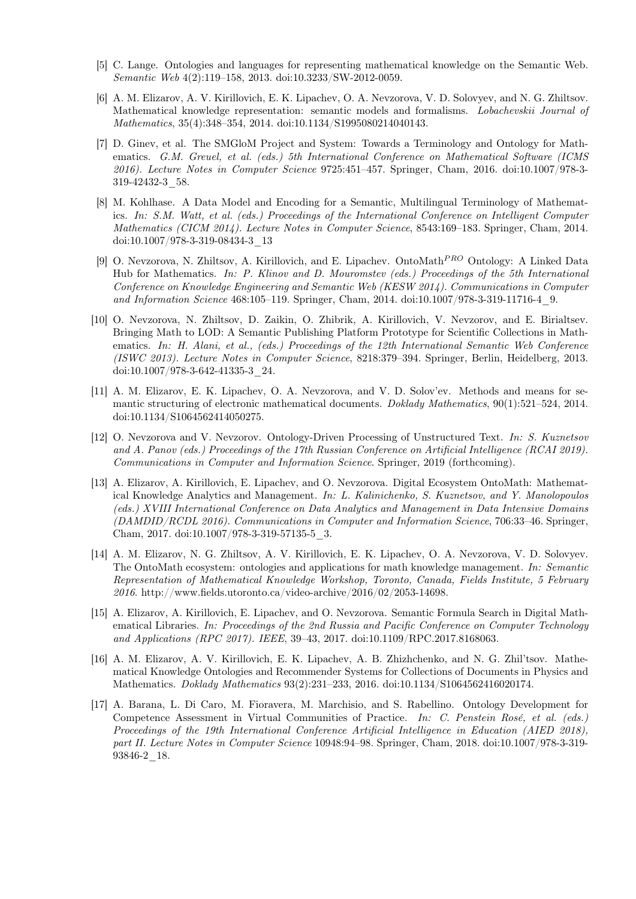- [5] C. Lange. Ontologies and languages for representing mathematical knowledge on the Semantic Web. Semantic Web 4(2):119–158, 2013. doi:10.3233/SW-2012-0059.
- [6] A. M. Elizarov, A. V. Kirillovich, E. K. Lipachev, O. A. Nevzorova, V. D. Solovyev, and N. G. Zhiltsov. Mathematical knowledge representation: semantic models and formalisms. Lobachevskii Journal of Mathematics, 35(4):348–354, 2014. doi:10.1134/S1995080214040143.
- [7] D. Ginev, et al. The SMGloM Project and System: Towards a Terminology and Ontology for Mathematics. G.M. Greuel, et al. (eds.) 5th International Conference on Mathematical Software (ICMS 2016). Lecture Notes in Computer Science 9725:451–457. Springer, Cham, 2016. doi:10.1007/978-3- 319-42432-3\_58.
- [8] M. Kohlhase. A Data Model and Encoding for a Semantic, Multilingual Terminology of Mathematics. In: S.M. Watt, et al. (eds.) Proceedings of the International Conference on Intelligent Computer Mathematics (CICM 2014). Lecture Notes in Computer Science, 8543:169–183. Springer, Cham, 2014. doi:10.1007/978-3-319-08434-3\_13
- [9] O. Nevzorova, N. Zhiltsov, A. Kirillovich, and E. Lipachev. OntoMath<sup>PRO</sup> Ontology: A Linked Data Hub for Mathematics. In: P. Klinov and D. Mouromstev (eds.) Proceedings of the 5th International Conference on Knowledge Engineering and Semantic Web (KESW 2014). Communications in Computer and Information Science 468:105–119. Springer, Cham, 2014. doi:10.1007/978-3-319-11716-4\_9.
- [10] O. Nevzorova, N. Zhiltsov, D. Zaikin, O. Zhibrik, A. Kirillovich, V. Nevzorov, and E. Birialtsev. Bringing Math to LOD: A Semantic Publishing Platform Prototype for Scientific Collections in Mathematics. In: H. Alani, et al., (eds.) Proceedings of the 12th International Semantic Web Conference (ISWC 2013). Lecture Notes in Computer Science, 8218:379–394. Springer, Berlin, Heidelberg, 2013. doi:10.1007/978-3-642-41335-3\_24.
- [11] A. M. Elizarov, E. K. Lipachev, O. A. Nevzorova, and V. D. Solov'ev. Methods and means for semantic structuring of electronic mathematical documents. Doklady Mathematics, 90(1):521–524, 2014. doi:10.1134/S1064562414050275.
- [12] O. Nevzorova and V. Nevzorov. Ontology-Driven Processing of Unstructured Text. In: S. Kuznetsov and A. Panov (eds.) Proceedings of the 17th Russian Conference on Artificial Intelligence (RCAI 2019). Communications in Computer and Information Science. Springer, 2019 (forthcoming).
- [13] A. Elizarov, A. Kirillovich, E. Lipachev, and O. Nevzorova. Digital Ecosystem OntoMath: Mathematical Knowledge Analytics and Management. In: L. Kalinichenko, S. Kuznetsov, and Y. Manolopoulos (eds.) XVIII International Conference on Data Analytics and Management in Data Intensive Domains (DAMDID/RCDL 2016). Communications in Computer and Information Science, 706:33–46. Springer, Cham, 2017. doi:10.1007/978-3-319-57135-5\_3.
- [14] A. M. Elizarov, N. G. Zhiltsov, A. V. Kirillovich, E. K. Lipachev, O. A. Nevzorova, V. D. Solovyev. The OntoMath ecosystem: ontologies and applications for math knowledge management. In: Semantic Representation of Mathematical Knowledge Workshop, Toronto, Canada, Fields Institute, 5 February  $2016. \text{ http://www.fields.utoronto.ca/video-archive}/2016/02/2053-14698.$
- [15] A. Elizarov, A. Kirillovich, E. Lipachev, and O. Nevzorova. Semantic Formula Search in Digital Mathematical Libraries. In: Proceedings of the 2nd Russia and Pacific Conference on Computer Technology and Applications (RPC 2017). IEEE, 39–43, 2017. doi:10.1109/RPC.2017.8168063.
- [16] A. M. Elizarov, A. V. Kirillovich, E. K. Lipachev, A. B. Zhizhchenko, and N. G. Zhil'tsov. Mathematical Knowledge Ontologies and Recommender Systems for Collections of Documents in Physics and Mathematics. Doklady Mathematics 93(2):231–233, 2016. doi:10.1134/S1064562416020174.
- [17] A. Barana, L. Di Caro, M. Fioravera, M. Marchisio, and S. Rabellino. Ontology Development for Competence Assessment in Virtual Communities of Practice. In: C. Penstein Rosé, et al. (eds.) Proceedings of the 19th International Conference Artificial Intelligence in Education (AIED 2018), part II. Lecture Notes in Computer Science 10948:94–98. Springer, Cham, 2018. doi:10.1007/978-3-319- 93846-2\_18.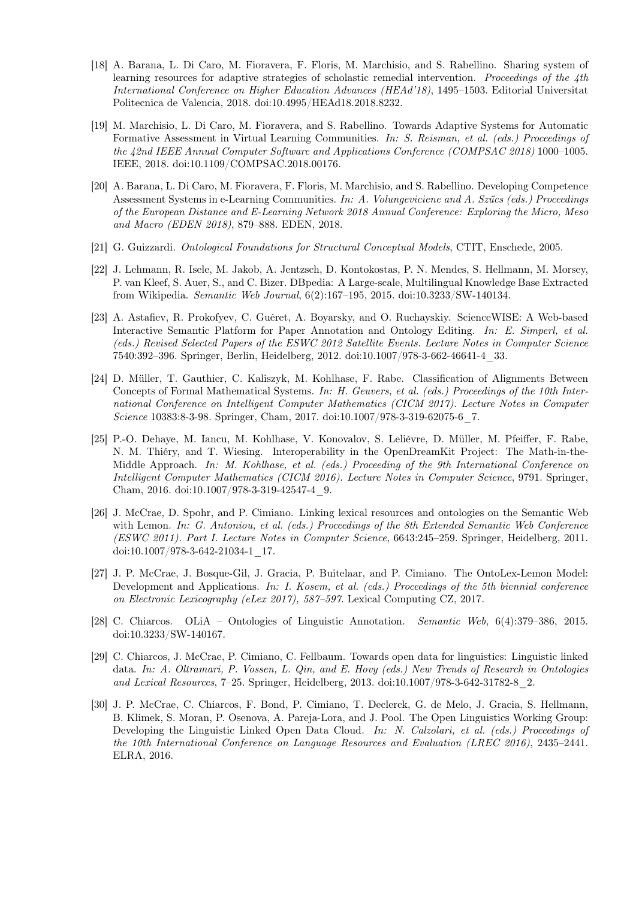- [18] A. Barana, L. Di Caro, M. Fioravera, F. Floris, M. Marchisio, and S. Rabellino. Sharing system of learning resources for adaptive strategies of scholastic remedial intervention. Proceedings of the 4th International Conference on Higher Education Advances (HEAd'18), 1495–1503. Editorial Universitat Politecnica de Valencia, 2018. doi:10.4995/HEAd18.2018.8232.
- [19] M. Marchisio, L. Di Caro, M. Fioravera, and S. Rabellino. Towards Adaptive Systems for Automatic Formative Assessment in Virtual Learning Communities. In: S. Reisman, et al. (eds.) Proceedings of the 42nd IEEE Annual Computer Software and Applications Conference (COMPSAC 2018) 1000–1005. IEEE, 2018. doi:10.1109/COMPSAC.2018.00176.
- [20] A. Barana, L. Di Caro, M. Fioravera, F. Floris, M. Marchisio, and S. Rabellino. Developing Competence Assessment Systems in e-Learning Communities. In: A. Volungeviciene and A. Szűcs (eds.) Proceedings of the European Distance and E-Learning Network 2018 Annual Conference: Exploring the Micro, Meso and Macro (EDEN 2018), 879–888. EDEN, 2018.
- [21] G. Guizzardi. Ontological Foundations for Structural Conceptual Models, CTIT, Enschede, 2005.
- [22] J. Lehmann, R. Isele, M. Jakob, A. Jentzsch, D. Kontokostas, P. N. Mendes, S. Hellmann, M. Morsey, P. van Kleef, S. Auer, S., and C. Bizer. DBpedia: A Large-scale, Multilingual Knowledge Base Extracted from Wikipedia. Semantic Web Journal, 6(2):167–195, 2015. doi:10.3233/SW-140134.
- [23] A. Astafiev, R. Prokofyev, C. Guéret, A. Boyarsky, and O. Ruchayskiy. ScienceWISE: A Web-based Interactive Semantic Platform for Paper Annotation and Ontology Editing. In: E. Simperl, et al. (eds.) Revised Selected Papers of the ESWC 2012 Satellite Events. Lecture Notes in Computer Science 7540:392–396. Springer, Berlin, Heidelberg, 2012. doi:10.1007/978-3-662-46641-4\_33.
- [24] D. Müller, T. Gauthier, C. Kaliszyk, M. Kohlhase, F. Rabe. Classification of Alignments Between Concepts of Formal Mathematical Systems. In: H. Geuvers, et al. (eds.) Proceedings of the 10th International Conference on Intelligent Computer Mathematics (CICM 2017). Lecture Notes in Computer Science 10383:8-3-98. Springer, Cham, 2017. doi:10.1007/978-3-319-62075-6 7.
- [25] P.-O. Dehaye, M. Iancu, M. Kohlhase, V. Konovalov, S. Lelièvre, D. Müller, M. Pfeiffer, F. Rabe, N. M. Thiéry, and T. Wiesing. Interoperability in the OpenDreamKit Project: The Math-in-the-Middle Approach. In: M. Kohlhase, et al. (eds.) Proceeding of the 9th International Conference on Intelligent Computer Mathematics (CICM 2016). Lecture Notes in Computer Science, 9791. Springer, Cham, 2016. doi:10.1007/978-3-319-42547-4\_9.
- [26] J. McCrae, D. Spohr, and P. Cimiano. Linking lexical resources and ontologies on the Semantic Web with Lemon. In: G. Antoniou, et al. (eds.) Proceedings of the 8th Extended Semantic Web Conference (ESWC 2011). Part I. Lecture Notes in Computer Science, 6643:245–259. Springer, Heidelberg, 2011. doi:10.1007/978-3-642-21034-1 17.
- [27] J. P. McCrae, J. Bosque-Gil, J. Gracia, P. Buitelaar, and P. Cimiano. The OntoLex-Lemon Model: Development and Applications. In: I. Kosem, et al. (eds.) Proceedings of the 5th biennial conference on Electronic Lexicography (eLex 2017), 587–597. Lexical Computing CZ, 2017.
- [28] C. Chiarcos. OLiA Ontologies of Linguistic Annotation. Semantic Web, 6(4):379–386, 2015. doi:10.3233/SW-140167.
- [29] C. Chiarcos, J. McCrae, P. Cimiano, C. Fellbaum. Towards open data for linguistics: Linguistic linked data. In: A. Oltramari, P. Vossen, L. Qin, and E. Hovy (eds.) New Trends of Research in Ontologies and Lexical Resources, 7–25. Springer, Heidelberg, 2013. doi:10.1007/978-3-642-31782-8\_2.
- [30] J. P. McCrae, C. Chiarcos, F. Bond, P. Cimiano, T. Declerck, G. de Melo, J. Gracia, S. Hellmann, B. Klimek, S. Moran, P. Osenova, A. Pareja-Lora, and J. Pool. The Open Linguistics Working Group: Developing the Linguistic Linked Open Data Cloud. In: N. Calzolari, et al. (eds.) Proceedings of the 10th International Conference on Language Resources and Evaluation (LREC 2016), 2435–2441. ELRA, 2016.